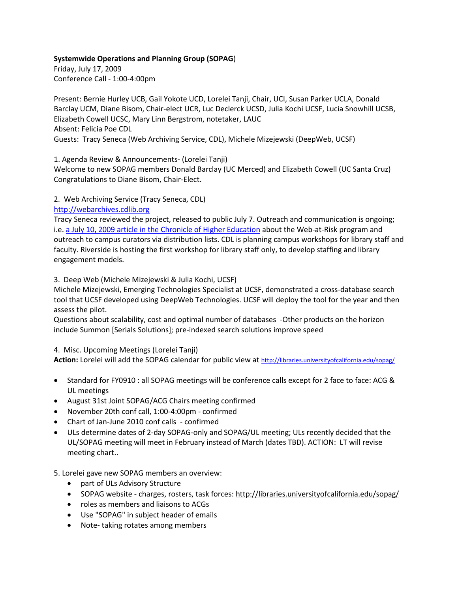#### **Systemwide Operations and Planning Group (SOPAG**)

Friday, July 17, 2009 Conference Call - 1:00-4:00pm

Present: Bernie Hurley UCB, Gail Yokote UCD, Lorelei Tanji, Chair, UCI, Susan Parker UCLA, Donald Barclay UCM, Diane Bisom, Chair-elect UCR, Luc Declerck UCSD, Julia Kochi UCSF, Lucia Snowhill UCSB, Elizabeth Cowell UCSC, Mary Linn Bergstrom, notetaker, LAUC Absent: Felicia Poe CDL Guests: Tracy Seneca (Web Archiving Service, CDL), Michele Mizejewski (DeepWeb, UCSF)

1. Agenda Review & Announcements- (Lorelei Tanji)

Welcome to new SOPAG members Donald Barclay (UC Merced) and Elizabeth Cowell (UC Santa Cruz) Congratulations to Diane Bisom, Chair-Elect.

2. Web Archiving Service (Tracy Seneca, CDL)

### [http://webarchives.cdlib.org](http://webarchives.cdlib.org/)

Tracy Seneca reviewed the project, released to public July 7. Outreach and communication is ongoing; i.e. [a July 10, 2009 article in the Chronicle of Higher Education](http://chronicle.com/weekly/v55/i41/41a00103.htm) about the Web-at-Risk program and outreach to campus curators via distribution lists. CDL is planning campus workshops for library staff and faculty. Riverside is hosting the first workshop for library staff only, to develop staffing and library engagement models.

3. Deep Web (Michele Mizejewski & Julia Kochi, UCSF)

Michele Mizejewski, Emerging Technologies Specialist at UCSF, demonstrated a cross-database search tool that UCSF developed using DeepWeb Technologies. UCSF will deploy the tool for the year and then assess the pilot.

Questions about scalability, cost and optimal number of databases -Other products on the horizon include Summon [Serials Solutions]; pre-indexed search solutions improve speed

# 4. Misc. Upcoming Meetings (Lorelei Tanji)

Action: Lorelei will add the SOPAG calendar for public view at<http://libraries.universityofcalifornia.edu/sopag/>

- Standard for FY0910 : all SOPAG meetings will be conference calls except for 2 face to face: ACG & UL meetings
- August 31st Joint SOPAG/ACG Chairs meeting confirmed
- November 20th conf call, 1:00-4:00pm confirmed
- Chart o[f Jan-June 2010 conf calls](https://wiki.library.ucsf.edu/download/attachments/21505266/SOPAG+Meetings+and+Recorders+2009-2010.doc?version=2) confirmed
- ULs determine dates of 2-day SOPAG-only and SOPAG/UL meeting; ULs recently decided that the UL/SOPAG meeting will meet in February instead of March (dates TBD). ACTION: LT will revise meeting chart..

# 5. Lorelei gave new SOPAG members an overview:

- part of ULs Advisory Structure
- SOPAG website charges, rosters, task forces:<http://libraries.universityofcalifornia.edu/sopag/>
- roles as members and liaisons to ACGs
- Use "SOPAG" in subject header of emails
- Note- taking rotates among members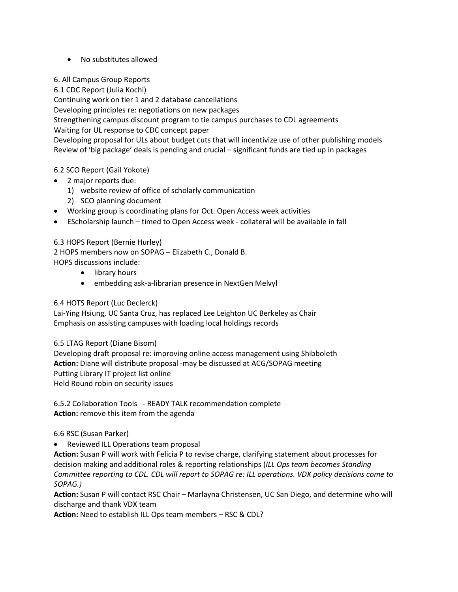# • No substitutes allowed

6. All Campus Group Reports

6.1 CDC Report (Julia Kochi)

Continuing work on tier 1 and 2 database cancellations

Developing principles re: negotiations on new packages

Strengthening campus discount program to tie campus purchases to CDL agreements Waiting for UL response to CDC concept paper

Developing proposal for ULs about budget cuts that will incentivize use of other publishing models Review of 'big package' deals is pending and crucial – significant funds are tied up in packages

### 6.2 SCO Report (Gail Yokote)

- 2 major reports due:
	- 1) website review of office of scholarly communication
	- 2) SCO planning document
- Working group is coordinating plans for Oct. Open Access week activities
- EScholarship launch timed to Open Access week collateral will be available in fall

#### 6.3 HOPS Report (Bernie Hurley)

2 HOPS members now on SOPAG – Elizabeth C., Donald B. HOPS discussions include:

- library hours
- embedding ask-a-librarian presence in NextGen Melvyl

6.4 HOTS Report (Luc Declerck)

Lai-Ying Hsiung, UC Santa Cruz, has replaced Lee Leighton UC Berkeley as Chair Emphasis on assisting campuses with loading local holdings records

6.5 LTAG Report (Diane Bisom)

Developing draft proposal re: improving online access management using Shibboleth **Action:** Diane will distribute proposal -may be discussed at ACG/SOPAG meeting Putting Library IT project list online Held Round robin on security issues

6.5.2 Collaboration Tools - READY TALK recommendation complete **Action:** remove this item from the agenda

#### 6.6 RSC (Susan Parker)

• Reviewed ILL Operations team proposal

**Action:** Susan P will work with Felicia P to revise charge, clarifying statement about processes for decision making and additional roles & reporting relationships (*ILL Ops team becomes Standing Committee reporting to CDL. CDL will report to SOPAG re: ILL operations. VDX policy decisions come to SOPAG.)*

**Action:** Susan P will contact RSC Chair – Marlayna Christensen, UC San Diego, and determine who will discharge and thank VDX team

**Action:** Need to establish ILL Ops team members – RSC & CDL?